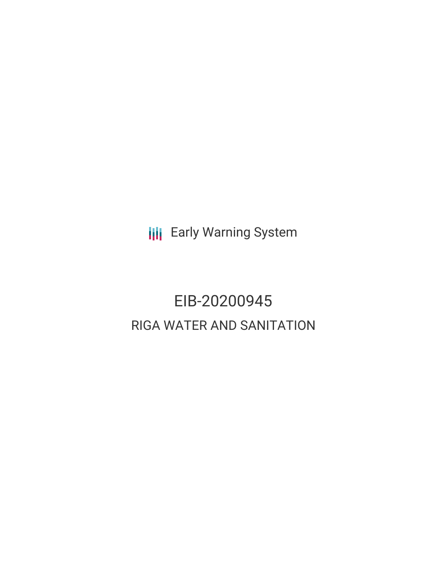**III** Early Warning System

# EIB-20200945 RIGA WATER AND SANITATION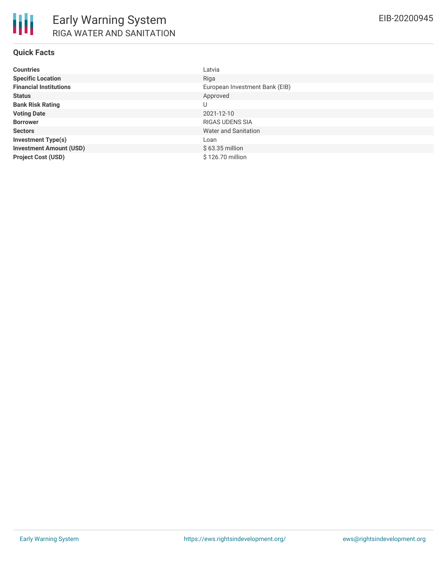## **Quick Facts**

| <b>Countries</b>               | Latvia                         |
|--------------------------------|--------------------------------|
| <b>Specific Location</b>       | Riga                           |
| <b>Financial Institutions</b>  | European Investment Bank (EIB) |
| <b>Status</b>                  | Approved                       |
| <b>Bank Risk Rating</b>        | U                              |
| <b>Voting Date</b>             | 2021-12-10                     |
| <b>Borrower</b>                | <b>RIGAS UDENS SIA</b>         |
| <b>Sectors</b>                 | Water and Sanitation           |
| <b>Investment Type(s)</b>      | Loan                           |
| <b>Investment Amount (USD)</b> | $$63.35$ million               |
| <b>Project Cost (USD)</b>      | \$126.70 million               |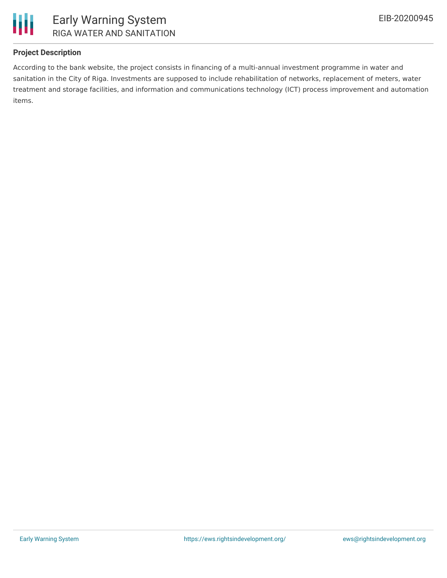

# **Project Description**

According to the bank website, the project consists in financing of a multi-annual investment programme in water and sanitation in the City of Riga. Investments are supposed to include rehabilitation of networks, replacement of meters, water treatment and storage facilities, and information and communications technology (ICT) process improvement and automation items.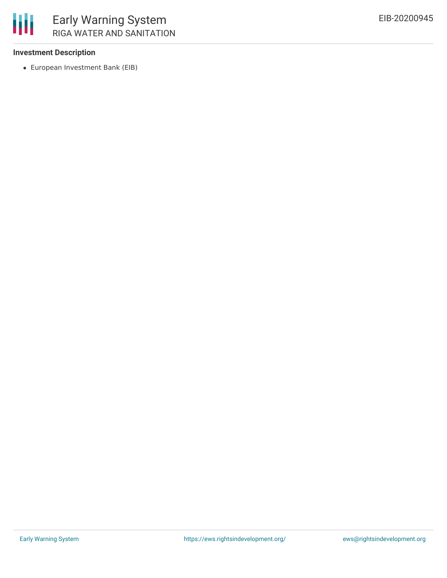

### **Investment Description**

European Investment Bank (EIB)